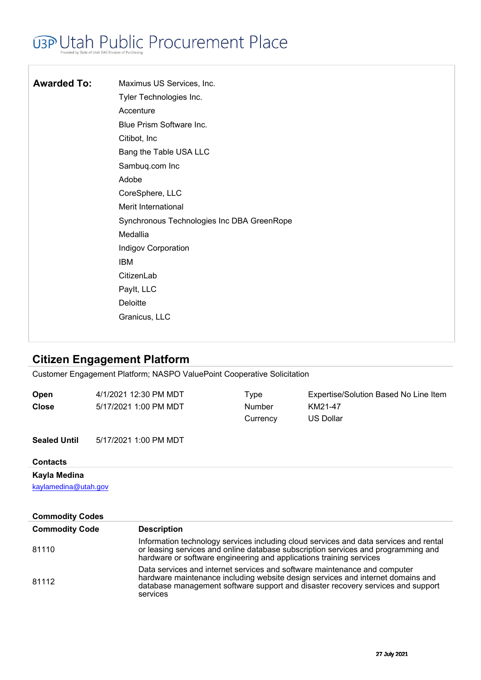# **U3P Utah Public Procurement Place**

| <b>Awarded To:</b> | Maximus US Services, Inc.                  |
|--------------------|--------------------------------------------|
|                    | Tyler Technologies Inc.                    |
|                    | Accenture                                  |
|                    | Blue Prism Software Inc.                   |
|                    | Citibot, Inc.                              |
|                    | Bang the Table USA LLC                     |
|                    | Sambuq.com Inc                             |
|                    | Adobe                                      |
|                    | CoreSphere, LLC                            |
|                    | Merit International                        |
|                    | Synchronous Technologies Inc DBA GreenRope |
|                    | Medallia                                   |
|                    | <b>Indigov Corporation</b>                 |
|                    | <b>IBM</b>                                 |
|                    | CitizenLab                                 |
|                    | Paylt, LLC                                 |
|                    | Deloitte                                   |
|                    | Granicus, LLC                              |
|                    |                                            |

### **Citizen Engagement Platform**

Customer Engagement Platform; NASPO ValuePoint Cooperative Solicitation

| <b>Open</b><br><b>Close</b>                                    | 4/1/2021 12:30 PM MDT<br>5/17/2021 1:00 PM MDT                      | Type<br>Number<br>Currency | Expertise/Solution Based No Line Item<br>KM21-47<br><b>US Dollar</b>                                                                                                                                                                            |
|----------------------------------------------------------------|---------------------------------------------------------------------|----------------------------|-------------------------------------------------------------------------------------------------------------------------------------------------------------------------------------------------------------------------------------------------|
| <b>Sealed Until</b>                                            | 5/17/2021 1:00 PM MDT                                               |                            |                                                                                                                                                                                                                                                 |
| <b>Contacts</b>                                                |                                                                     |                            |                                                                                                                                                                                                                                                 |
| Kayla Medina<br>kaylamedina@utah.gov<br><b>Commodity Codes</b> |                                                                     |                            |                                                                                                                                                                                                                                                 |
| <b>Commodity Code</b>                                          | <b>Description</b>                                                  |                            |                                                                                                                                                                                                                                                 |
| 81110                                                          | hardware or software engineering and applications training services |                            | Information technology services including cloud services and data services and rental<br>or leasing services and online database subscription services and programming and                                                                      |
| 81112                                                          | services                                                            |                            | Data services and internet services and software maintenance and computer<br>hardware maintenance including website design services and internet domains and<br>database management software support and disaster recovery services and support |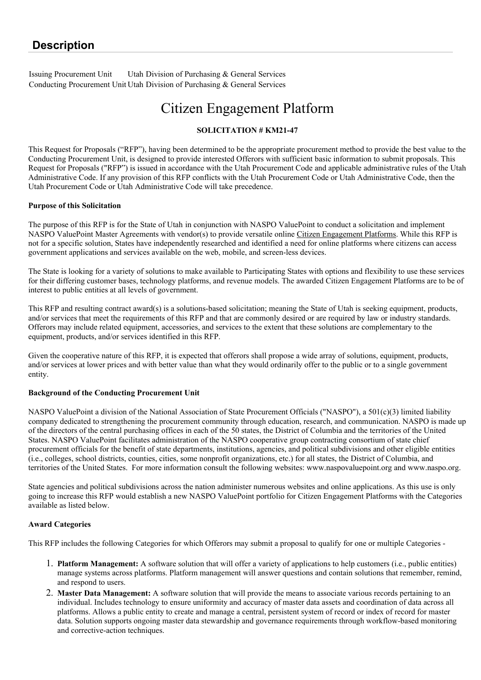Issuing Procurement Unit Utah Division of Purchasing & General Services Conducting Procurement Unit Utah Division of Purchasing & General Services

## Citizen Engagement Platform

### **SOLICITATION # KM21-47**

This Request for Proposals ("RFP"), having been determined to be the appropriate procurement method to provide the best value to the Conducting Procurement Unit, is designed to provide interested Offerors with sufficient basic information to submit proposals. This Request for Proposals ("RFP") is issued in accordance with the Utah Procurement Code and applicable administrative rules of the Utah Administrative Code. If any provision of this RFP conflicts with the Utah Procurement Code or Utah Administrative Code, then the Utah Procurement Code or Utah Administrative Code will take precedence.

#### **Purpose of this Solicitation**

The purpose of this RFP is for the State of Utah in conjunction with NASPO ValuePoint to conduct a solicitation and implement NASPO ValuePoint Master Agreements with vendor(s) to provide versatile online Citizen Engagement Platforms. While this RFP is not for a specific solution, States have independently researched and identified a need for online platforms where citizens can access government applications and services available on the web, mobile, and screen-less devices.

The State is looking for a variety of solutions to make available to Participating States with options and flexibility to use these services for their differing customer bases, technology platforms, and revenue models. The awarded Citizen Engagement Platforms are to be of interest to public entities at all levels of government.

This RFP and resulting contract award(s) is a solutions-based solicitation; meaning the State of Utah is seeking equipment, products, and/or services that meet the requirements of this RFP and that are commonly desired or are required by law or industry standards. Offerors may include related equipment, accessories, and services to the extent that these solutions are complementary to the equipment, products, and/or services identified in this RFP.

Given the cooperative nature of this RFP, it is expected that offerors shall propose a wide array of solutions, equipment, products, and/or services at lower prices and with better value than what they would ordinarily offer to the public or to a single government entity.

#### **Background of the Conducting Procurement Unit**

NASPO ValuePoint a division of the National Association of State Procurement Officials ("NASPO"), a 501(c)(3) limited liability company dedicated to strengthening the procurement community through education, research, and communication. NASPO is made up of the directors of the central purchasing offices in each of the 50 states, the District of Columbia and the territories of the United States. NASPO ValuePoint facilitates administration of the NASPO cooperative group contracting consortium of state chief procurement officials for the benefit of state departments, institutions, agencies, and political subdivisions and other eligible entities (i.e., colleges, school districts, counties, cities, some nonprofit organizations, etc.) for all states, the District of Columbia, and territories of the United States. For more information consult the following websites: www.naspovaluepoint.org and www.naspo.org.

State agencies and political subdivisions across the nation administer numerous websites and online applications. As this use is only going to increase this RFP would establish a new NASPO ValuePoint portfolio for Citizen Engagement Platforms with the Categories available as listed below.

#### **Award Categories**

This RFP includes the following Categories for which Offerors may submit a proposal to qualify for one or multiple Categories -

- 1. **Platform Management:** A software solution that will offer a variety of applications to help customers (i.e., public entities) manage systems across platforms. Platform management will answer questions and contain solutions that remember, remind, and respond to users.
- 2. **Master Data Management:** A software solution that will provide the means to associate various records pertaining to an individual. Includes technology to ensure uniformity and accuracy of master data assets and coordination of data across all platforms. Allows a public entity to create and manage a central, persistent system of record or index of record for master data. Solution supports ongoing master data stewardship and governance requirements through workflow-based monitoring and corrective-action techniques.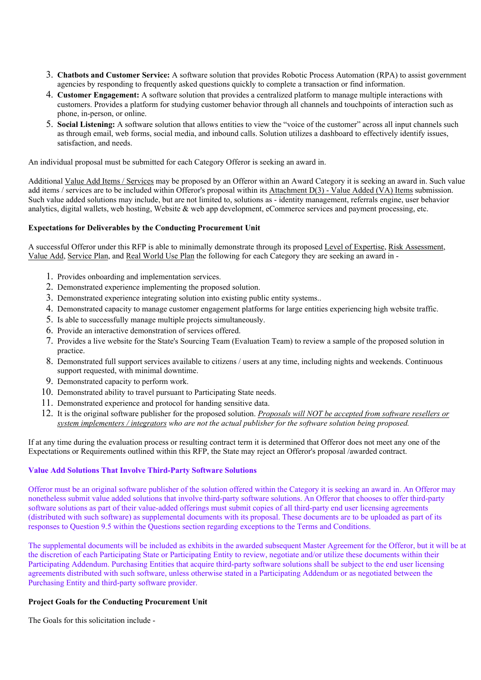- 3. **Chatbots and Customer Service:** A software solution that provides Robotic Process Automation (RPA) to assist government agencies by responding to frequently asked questions quickly to complete a transaction or find information.
- 4. **Customer Engagement:** A software solution that provides a centralized platform to manage multiple interactions with customers. Provides a platform for studying customer behavior through all channels and touchpoints of interaction such as phone, in-person, or online.
- 5. **Social Listening:** A software solution that allows entities to view the "voice of the customer" across all input channels such as through email, web forms, social media, and inbound calls. Solution utilizes a dashboard to effectively identify issues, satisfaction, and needs.

An individual proposal must be submitted for each Category Offeror is seeking an award in.

Additional Value Add Items / Services may be proposed by an Offeror within an Award Category it is seeking an award in. Such value add items / services are to be included within Offeror's proposal within its Attachment D(3) - Value Added (VA) Items submission. Such value added solutions may include, but are not limited to, solutions as - identity management, referrals engine, user behavior analytics, digital wallets, web hosting, Website & web app development, eCommerce services and payment processing, etc.

#### **Expectations for Deliverables by the Conducting Procurement Unit**

A successful Offeror under this RFP is able to minimally demonstrate through its proposed Level of Expertise, Risk Assessment, Value Add, Service Plan, and Real World Use Plan the following for each Category they are seeking an award in -

- 1. Provides onboarding and implementation services.
- 2. Demonstrated experience implementing the proposed solution.
- 3. Demonstrated experience integrating solution into existing public entity systems..
- 4. Demonstrated capacity to manage customer engagement platforms for large entities experiencing high website traffic.
- 5. Is able to successfully manage multiple projects simultaneously.
- 6. Provide an interactive demonstration of services offered.
- 7. Provides a live website for the State's Sourcing Team (Evaluation Team) to review a sample of the proposed solution in practice.
- 8. Demonstrated full support services available to citizens / users at any time, including nights and weekends. Continuous support requested, with minimal downtime.
- 9. Demonstrated capacity to perform work.
- 10. Demonstrated ability to travel pursuant to Participating State needs.
- 11. Demonstrated experience and protocol for handing sensitive data.
- 12. It is the original software publisher for the proposed solution. *Proposals will NOT be accepted from software resellers or system implementers / integrators who are not the actual publisher for the software solution being proposed.*

If at any time during the evaluation process or resulting contract term it is determined that Offeror does not meet any one of the Expectations or Requirements outlined within this RFP, the State may reject an Offeror's proposal /awarded contract.

#### **Value Add Solutions That Involve Third-Party Software Solutions**

Offeror must be an original software publisher of the solution offered within the Category it is seeking an award in. An Offeror may nonetheless submit value added solutions that involve third-party software solutions. An Offeror that chooses to offer third-party software solutions as part of their value-added offerings must submit copies of all third-party end user licensing agreements (distributed with such software) as supplemental documents with its proposal. These documents are to be uploaded as part of its responses to Question 9.5 within the Questions section regarding exceptions to the Terms and Conditions.

The supplemental documents will be included as exhibits in the awarded subsequent Master Agreement for the Offeror, but it will be at the discretion of each Participating State or Participating Entity to review, negotiate and/or utilize these documents within their Participating Addendum. Purchasing Entities that acquire third-party software solutions shall be subject to the end user licensing agreements distributed with such software, unless otherwise stated in a Participating Addendum or as negotiated between the Purchasing Entity and third-party software provider.

#### **Project Goals for the Conducting Procurement Unit**

The Goals for this solicitation include -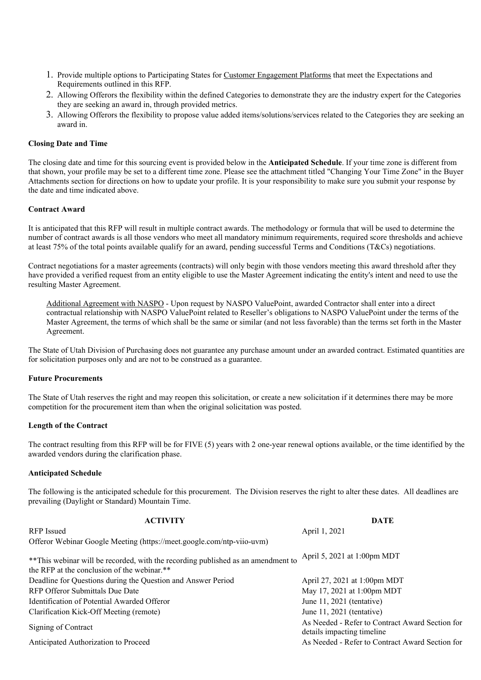- 1. Provide multiple options to Participating States for Customer Engagement Platforms that meet the Expectations and Requirements outlined in this RFP.
- 2. Allowing Offerors the flexibility within the defined Categories to demonstrate they are the industry expert for the Categories they are seeking an award in, through provided metrics.
- 3. Allowing Offerors the flexibility to propose value added items/solutions/services related to the Categories they are seeking an award in.

#### **Closing Date and Time**

The closing date and time for this sourcing event is provided below in the **Anticipated Schedule**. If your time zone is different from that shown, your profile may be set to a different time zone. Please see the attachment titled "Changing Your Time Zone" in the Buyer Attachments section for directions on how to update your profile. It is your responsibility to make sure you submit your response by the date and time indicated above.

#### **Contract Award**

It is anticipated that this RFP will result in multiple contract awards. The methodology or formula that will be used to determine the number of contract awards is all those vendors who meet all mandatory minimum requirements, required score thresholds and achieve at least 75% of the total points available qualify for an award, pending successful Terms and Conditions (T&Cs) negotiations.

Contract negotiations for a master agreements (contracts) will only begin with those vendors meeting this award threshold after they have provided a verified request from an entity eligible to use the Master Agreement indicating the entity's intent and need to use the resulting Master Agreement.

Additional Agreement with NASPO - Upon request by NASPO ValuePoint, awarded Contractor shall enter into a direct contractual relationship with NASPO ValuePoint related to Reseller's obligations to NASPO ValuePoint under the terms of the Master Agreement, the terms of which shall be the same or similar (and not less favorable) than the terms set forth in the Master Agreement.

The State of Utah Division of Purchasing does not guarantee any purchase amount under an awarded contract. Estimated quantities are for solicitation purposes only and are not to be construed as a guarantee.

#### **Future Procurements**

The State of Utah reserves the right and may reopen this solicitation, or create a new solicitation if it determines there may be more competition for the procurement item than when the original solicitation was posted.

#### **Length of the Contract**

The contract resulting from this RFP will be for FIVE (5) years with 2 one-year renewal options available, or the time identified by the awarded vendors during the clarification phase.

#### **Anticipated Schedule**

The following is the anticipated schedule for this procurement. The Division reserves the right to alter these dates. All deadlines are prevailing (Daylight or Standard) Mountain Time.

| <b>ACTIVITY</b>                                                                                                                 | <b>DATE</b>                                                                    |
|---------------------------------------------------------------------------------------------------------------------------------|--------------------------------------------------------------------------------|
| <b>RFP</b> Issued                                                                                                               | April 1, 2021                                                                  |
| Offeror Webinar Google Meeting (https://meet.google.com/ntp-viio-uvm)                                                           |                                                                                |
| **This webinar will be recorded, with the recording published as an amendment to<br>the RFP at the conclusion of the webinar.** | April 5, 2021 at 1:00pm MDT                                                    |
| Deadline for Questions during the Question and Answer Period                                                                    | April 27, 2021 at 1:00pm MDT                                                   |
| RFP Offeror Submittals Due Date                                                                                                 | May 17, 2021 at 1:00pm MDT                                                     |
| Identification of Potential Awarded Offeror                                                                                     | June $11, 2021$ (tentative)                                                    |
| Clarification Kick-Off Meeting (remote)                                                                                         | June $11, 2021$ (tentative)                                                    |
| Signing of Contract                                                                                                             | As Needed - Refer to Contract Award Section for<br>details impacting timeline. |
| Anticipated Authorization to Proceed                                                                                            | As Needed - Refer to Contract Award Section for                                |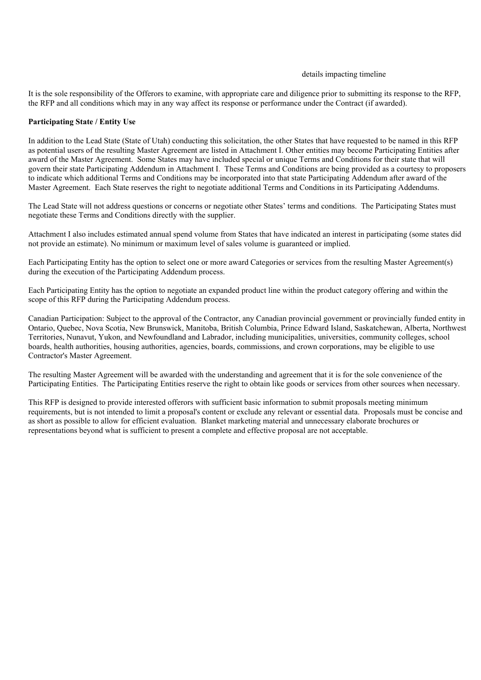#### details impacting timeline

It is the sole responsibility of the Offerors to examine, with appropriate care and diligence prior to submitting its response to the RFP, the RFP and all conditions which may in any way affect its response or performance under the Contract (if awarded).

#### **Participating State / Entity Use**

In addition to the Lead State (State of Utah) conducting this solicitation, the other States that have requested to be named in this RFP as potential users of the resulting Master Agreement are listed in Attachment I. Other entities may become Participating Entities after award of the Master Agreement. Some States may have included special or unique Terms and Conditions for their state that will govern their state Participating Addendum in Attachment I. These Terms and Conditions are being provided as a courtesy to proposers to indicate which additional Terms and Conditions may be incorporated into that state Participating Addendum after award of the Master Agreement. Each State reserves the right to negotiate additional Terms and Conditions in its Participating Addendums.

The Lead State will not address questions or concerns or negotiate other States' terms and conditions. The Participating States must negotiate these Terms and Conditions directly with the supplier.

Attachment I also includes estimated annual spend volume from States that have indicated an interest in participating (some states did not provide an estimate). No minimum or maximum level of sales volume is guaranteed or implied.

Each Participating Entity has the option to select one or more award Categories or services from the resulting Master Agreement(s) during the execution of the Participating Addendum process.

Each Participating Entity has the option to negotiate an expanded product line within the product category offering and within the scope of this RFP during the Participating Addendum process.

Canadian Participation: Subject to the approval of the Contractor, any Canadian provincial government or provincially funded entity in Ontario, Quebec, Nova Scotia, New Brunswick, Manitoba, British Columbia, Prince Edward Island, Saskatchewan, Alberta, Northwest Territories, Nunavut, Yukon, and Newfoundland and Labrador, including municipalities, universities, community colleges, school boards, health authorities, housing authorities, agencies, boards, commissions, and crown corporations, may be eligible to use Contractor's Master Agreement.

The resulting Master Agreement will be awarded with the understanding and agreement that it is for the sole convenience of the Participating Entities. The Participating Entities reserve the right to obtain like goods or services from other sources when necessary.

This RFP is designed to provide interested offerors with sufficient basic information to submit proposals meeting minimum requirements, but is not intended to limit a proposal's content or exclude any relevant or essential data. Proposals must be concise and as short as possible to allow for efficient evaluation. Blanket marketing material and unnecessary elaborate brochures or representations beyond what is sufficient to present a complete and effective proposal are not acceptable.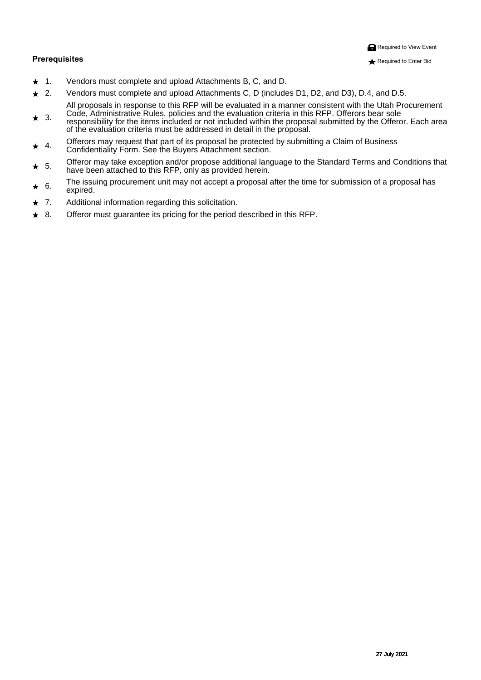- ★ FÈ X^}å[¦∙Á(ˇ•ʤo-1§[{]|^c^Áæ}åÁ]|[æåÁ0Eccae&@{^}orÁÓnĚóoBáæ}åÄÖÈ
- CÈ X^}å[¦•Á, ˇ•Á&I{]|^c^Áao}åÁ]|[æåÁDEcca&@|^}orÁÔÉÄÖÁQã&|ǐå^•ÁÖFÉÄÖGÉÁao}åÁÖHDÉÄÖÈÉÀao}åÁÖĚÈ  $\star$ QELAI[][•ad•A§A^•][}•^A{A@SAUQUA ālAs^A^çcan\`ane^aA§AsaA{aa}}^¦A&{}•ãc^}o^{ā@A^@2^A^kca@AU[&`¦^{^}o
- O jå^B&Dā{ ããdæã�^AU |^•B}[|&R&^AsàáAv@^A çæn}}&N ã&^lãæAs Ar@^AU ØUBAU∽^'|[¦^As^æ}A||^/  $\bigstar$ HE ∪اه سماره ا<br>ا^م1اله جمهور ¦^●][}●âāãâ^A]¦Ao@A&^{`●A§&}`å^âĄ\¦A}[o4§&}`â^⥠ãô@3}Ao@^A}¦[][●aa)A^`à{ ãơ^âÃà^Ao@^AJ~^`|¦}BÔoa&@Aaa}^a [—Ao@^A^çæni`æaa]}A&lãz^¦ãæn4, °•o?à^Asaåå¦^••^åA§Aå^œaã4§Ao@^A}¦[][•æn±
- IÈ U≁N¦l•Á, æ Á^ˇˇ^•œko3ozeoÀ,ækoÁ,ÄsorÁ,¦[][•æk/à^Á,¦[c^&c^åÁà^À\*`à{ãna3)\*Àso4Ô|æã{Á,√ÀO°∙ã}^••/<br>IÈ Ôri≋A) mádas kazy (protected by a Comme Claim of A) de sail È  $\widetilde{O}[\ \frac{1}{2}$   $\widetilde{\mathcal{A}}$ an $\setminus$   $\widetilde{\mathcal{A}}$   $\widetilde{\mathcal{A}}$   $\widetilde{\mathcal{A}}$   $\setminus$   $\setminus$   $\widetilde{\mathcal{A}}$   $\widetilde{\mathcal{A}}$   $\setminus$   $\widetilde{\mathcal{A}}$   $\setminus$   $\widetilde{\mathcal{A}}$   $\setminus$   $\widetilde{\mathcal{A}}$   $\setminus$   $\widetilde{\mathcal{A}}$   $\setminus$   $\widetilde{\mathcal{A}}$   $\setminus$   $\widetilde$
- íÈ U≁N[¦Á(æîÁraot^Ár¢&^]@[}Ánao}∄mu}já][][●^Ánaóåãnã]}æokÁnaot\*\*æ\*^Áq{Án@^ÁJœao}åæååÁ/^¦{●Ánao}åÄÖ[}åãnā]}●Án@ena<br>ÚE @mon∆bo∆)ánaôna @zánkuánasájajúnáji^ána ní!raãoàå@ziozic @ee^Aa^^}Aedeas@aAtTAcoo AUQUEA}|^Aee All caa^aA@\^aT
- î È V@Aã•`ã\*Áj[&`¦^{^}cÁ}ãoÁ æ`Á[cÁan&&^]cÁan4j¦[][•æpAæe^¦Áo@Aáą̃^Á{¦Á`à{ã•ąī}Á[-Áan4j¦[][•æpA@eeи<br>ÎÈ ∧elã∧ê⊑  $\bigstar$ ^¢] ã^ål
- TÈ Chāåãnā}æ†43, Amerikation regarding the Chān and The Chān and The Chān Chān and The Chān Chān Chān Chān Chā  $\ddotmark$
- ÌÈ U⊷^¦[¦Á(ˇ•oÁĭcææ)c^^ÁærÁ¦a&a}\*Á{¦Ác@^Á¦^¦ąīåÁå^•&lâànåÁ§Ác@enÄÜ⊘ÚÈ  $\star$

Á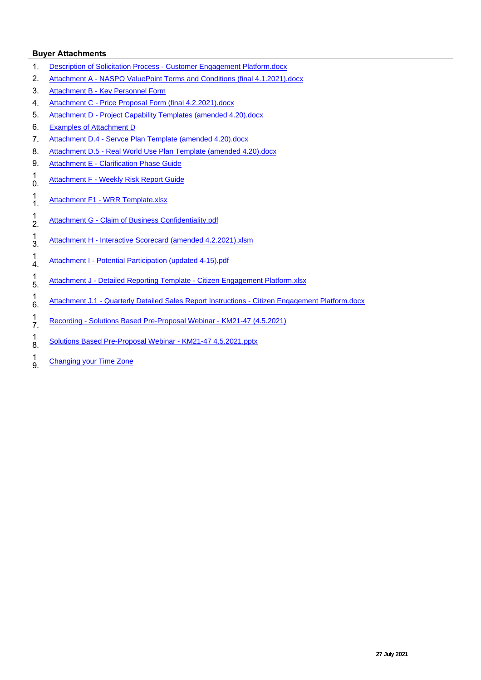#### **Buyer Attachments**

- 1. [Description of Solicitation Process Customer Engagement Platform.docx](https://s3.amazonaws.com/solutions-selectsite-documents/Sourcingevent/962021-1060191081Description%20of%20Solicitation%20Process%20-%20Customer%20Engagement%20Platform.docx?AWSAccessKeyId=AKIAJ5HNJE5DFBZ5ONSA&Expires=1690495455&Signature=Pp4ep%2FZArNdOUfev3ZFhB9vgkfI%3D)
- 2. [Attachment A NASPO ValuePoint Terms and Conditions \(final 4.1.2021\).docx](https://s3.amazonaws.com/solutions-selectsite-documents/Sourcingevent/962021-1060625837Attachment%20A%20-%20NASPO%20ValuePoint%20Terms%20and%20Conditions%20%28final%204.1.2021%29.docx?AWSAccessKeyId=AKIAJ5HNJE5DFBZ5ONSA&Expires=1690495455&Signature=KZNkgUJxovVtXVd9g6OV%2BLdiWQ8%3D)
- 3. [Attachment B Key Personnel Form](https://s3.amazonaws.com/solutions-selectsite-documents/Sourcingevent/962021-713790577ATTACHMENT%2BB%2BKey%2BPersonnel%2BProposal%2BForm%2B-%2BUpdated.docx?AWSAccessKeyId=AKIAJ5HNJE5DFBZ5ONSA&Expires=1690495455&Signature=kgq35enY6la%2BAkbLXxD4ehQyQrM%3D)
- 4. [Attachment C Price Proposal Form \(final 4.2.2021\).docx](https://s3.amazonaws.com/solutions-selectsite-documents/Sourcingevent/962021-1061113452Attachment%20C%20-%20Price%20Proposal%20Form%20%28final%204.2.2021%29.docx?AWSAccessKeyId=AKIAJ5HNJE5DFBZ5ONSA&Expires=1690495455&Signature=vJZtauzqAkkJFAJsALbUUmBgaG0%3D)
- 5. [Attachment D Project Capability Templates \(amended 4.20\).docx](https://s3.amazonaws.com/solutions-selectsite-documents/Sourcingevent/962021-1067989612Attachment%20D%20-%20Project%20Capability%20Templates%20%28amended%204.20%29.docx?AWSAccessKeyId=AKIAJ5HNJE5DFBZ5ONSA&Expires=1690495455&Signature=TRlteFE6iBI%2FC%2B2aKyqh7YLYitU%3D)
- 6. [Examples of Attachment D](https://s3.amazonaws.com/solutions-selectsite-documents/Sourcingevent/962021-713659189Examples%20for%20Attachment%20D.docx?AWSAccessKeyId=AKIAJ5HNJE5DFBZ5ONSA&Expires=1690495455&Signature=T%2FpbGN3Xv3ClIwiWuyMT45U%2Fr%2Bw%3D)
- 7. [Attachment D.4 Servce Plan Template \(amended 4.20\).docx](https://s3.amazonaws.com/solutions-selectsite-documents/Sourcingevent/962021-1067989684Attachment%20D.4%20-%20Servce%20Plan%20Template%20%28amended%204.20%29.docx?AWSAccessKeyId=AKIAJ5HNJE5DFBZ5ONSA&Expires=1690495455&Signature=huV5TPzBZlr5fOXOv0wI5QmlHEA%3D)
- 8. [Attachment D.5 Real World Use Plan Template \(amended 4.20\).docx](https://s3.amazonaws.com/solutions-selectsite-documents/Sourcingevent/962021-1067990208Attachment%20D.5%20-%20Real%20World%20Use%20Plan%20Template%20%28amended%204.20%29.docx?AWSAccessKeyId=AKIAJ5HNJE5DFBZ5ONSA&Expires=1690495455&Signature=pH7LhjCxeumW%2BkEAVn2CS72WnAQ%3D)
- 9. [Attachment E Clarification Phase Guide](https://s3.amazonaws.com/solutions-selectsite-documents/Sourcingevent/962021-713563560ATTACHMENT%2BE%2BClairfication%2BPhase%2BGuide%20%281%29.docx?AWSAccessKeyId=AKIAJ5HNJE5DFBZ5ONSA&Expires=1690495455&Signature=EYvSAyIeujLjWCnZ%2F0Pt20iq7WQ%3D)
- $\begin{matrix} 1 \\ 0 \end{matrix}$ 0. [Attachment F - Weekly Risk Report Guide](https://s3.amazonaws.com/solutions-selectsite-documents/Sourcingevent/962021-713563921ATTACHMENT%2BF%2BWeekly%2BRisk%2BReporting%2BSystem%2BGuide.docx?AWSAccessKeyId=AKIAJ5HNJE5DFBZ5ONSA&Expires=1690495455&Signature=90pGwPIH%2FnVqcNIfFeMuK2eWqaM%3D)
- $\frac{1}{1}$ [Attachment F1 - WRR Template.xlsx](https://s3.amazonaws.com/solutions-selectsite-documents/Sourcingevent/962021-804699219Attachment%20F1%20-%20WRR%20Template.xlsx?AWSAccessKeyId=AKIAJ5HNJE5DFBZ5ONSA&Expires=1690495455&Signature=VCE4nf760dSV%2FGoJ3drjlDDvfAU%3D)
- $\frac{1}{2}$ [Attachment G - Claim of Business Confidentiality.pdf](https://s3.amazonaws.com/solutions-selectsite-documents/Sourcingevent/962021-1054505631Attachment%20G%20-%20Claim%20of%20Business%20Confidentiality.pdf?AWSAccessKeyId=AKIAJ5HNJE5DFBZ5ONSA&Expires=1690495455&Signature=6rCEIeSBUxrLd%2BpPZo9LG8uwTCQ%3D)
- $\frac{1}{3}$ . [Attachment H - Interactive Scorecard \(amended 4.2.2021\).xlsm](https://s3.amazonaws.com/solutions-selectsite-documents/Sourcingevent/962021-1061212624Attachment%20H%20-%20Interactive%20Scorecard%20%28amended%204.2.2021%29.xlsm?AWSAccessKeyId=AKIAJ5HNJE5DFBZ5ONSA&Expires=1690495455&Signature=luA9wV%2FhhSDD3GmpVOMJ9ekj1ZA%3D)
- $\frac{1}{4}$ [Attachment I - Potential Participation \(updated 4-15\).pdf](https://s3.amazonaws.com/solutions-selectsite-documents/Sourcingevent/962021-1066911306Attachment%20I%20-%20Potential%20Participation%20%28updated%204-15%29.pdf?AWSAccessKeyId=AKIAJ5HNJE5DFBZ5ONSA&Expires=1690495455&Signature=w%2BUf5BveROdW8WAE80EC7MJ9rho%3D)
- $\frac{1}{5}$ [Attachment J - Detailed Reporting Template - Citizen Engagement Platform.xlsx](https://s3.amazonaws.com/solutions-selectsite-documents/Sourcingevent/962021-1055183077Attachment%20J%20-%20Detailed%20Reporting%20Template%20-%20Citizen%20Engagement%20Platform.xlsx?AWSAccessKeyId=AKIAJ5HNJE5DFBZ5ONSA&Expires=1690495455&Signature=nMwZ2y0e2xJSY%2FdZ82GOK%2BWfyRQ%3D)
- $\begin{matrix} 1 \\ 6 \end{matrix}$ 6. [Attachment J.1 - Quarterly Detailed Sales Report Instructions - Citizen Engagement Platform.docx](https://s3.amazonaws.com/solutions-selectsite-documents/Sourcingevent/962021-1055183123Attachment%20J.1%20-%20Quarterly%20Detailed%20Sales%20Report%20Instructions%20-%20Citizen%20Engagement%20Platform.docx?AWSAccessKeyId=AKIAJ5HNJE5DFBZ5ONSA&Expires=1690495455&Signature=qy5%2Bi9HeVdlFYJ5Y9ntGakO%2Bxeo%3D)
- $\frac{1}{7}$ 7. [Recording - Solutions Based Pre-Proposal Webinar - KM21-47 \(4.5.2021\)](https://drive.google.com/file/d/1idi4ytKrtI2NyM-M-PMdDzIzE5jeg9jr/view?usp=sharing)
- $\begin{array}{c} 1 \\ 8 \end{array}$ [Solutions Based Pre-Proposal Webinar - KM21-47 4.5.2021.pptx](https://s3.amazonaws.com/solutions-selectsite-documents/Sourcingevent/962021-1065034510Solutions%20Based%20Pre-Proposal%20Webinar%20-%20KM21-47%204.5.2021.pptx?AWSAccessKeyId=AKIAJ5HNJE5DFBZ5ONSA&Expires=1690495455&Signature=0pvAnLdrlJD%2BmTlmFMYV%2FvO0IgQ%3D)
- $\frac{1}{9}$ **[Changing your Time Zone](https://s3.amazonaws.com/solutions-selectsite-documents/Sourcingevent/962021-566044729Changing%20Your%20Time%20Zone.pptx?AWSAccessKeyId=AKIAJ5HNJE5DFBZ5ONSA&Expires=1690495455&Signature=QiOtH5I4ax9lIn4c3xr0qki4eMM%3D)**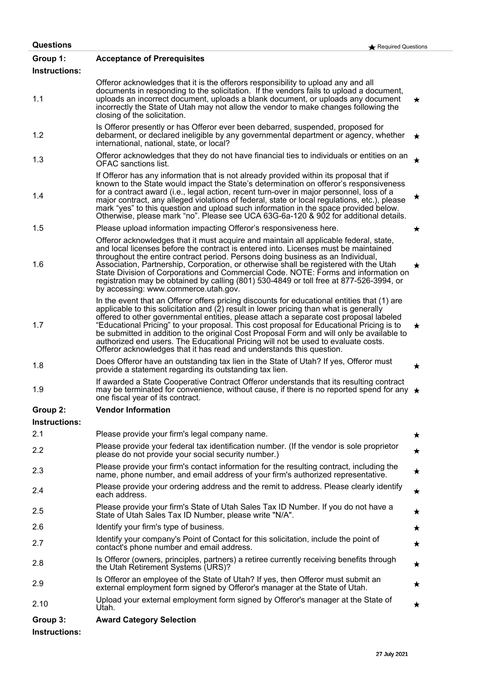| <b>Questions</b>                 | $\bigstar$ Required Questions                                                                                                                                                                                                                                                                                                                                                                                                                                                                                                                                                                                                         |         |
|----------------------------------|---------------------------------------------------------------------------------------------------------------------------------------------------------------------------------------------------------------------------------------------------------------------------------------------------------------------------------------------------------------------------------------------------------------------------------------------------------------------------------------------------------------------------------------------------------------------------------------------------------------------------------------|---------|
| Group 1:<br><b>Instructions:</b> | <b>Acceptance of Prerequisites</b>                                                                                                                                                                                                                                                                                                                                                                                                                                                                                                                                                                                                    |         |
| 1.1                              | Offeror acknowledges that it is the offerors responsibility to upload any and all<br>documents in responding to the solicitation. If the vendors fails to upload a document,<br>uploads an incorrect document, uploads a blank document, or uploads any document<br>incorrectly the State of Utah may not allow the vendor to make changes following the<br>closing of the solicitation.                                                                                                                                                                                                                                              | $\star$ |
| 1.2                              | Is Offeror presently or has Offeror ever been debarred, suspended, proposed for<br>debarment, or declared ineligible by any governmental department or agency, whether<br>international, national, state, or local?                                                                                                                                                                                                                                                                                                                                                                                                                   | $\star$ |
| 1.3                              | Offeror acknowledges that they do not have financial ties to individuals or entities on an<br><b>OFAC</b> sanctions list.                                                                                                                                                                                                                                                                                                                                                                                                                                                                                                             | ★       |
| 1.4                              | If Offeror has any information that is not already provided within its proposal that if<br>known to the State would impact the State's determination on offeror's responsiveness<br>for a contract award (i.e., legal action, recent turn-over in major personnel, loss of a<br>major contract, any alleged violations of federal, state or local regulations, etc.), please<br>mark "yes" to this question and upload such information in the space provided below.<br>Otherwise, please mark "no". Please see UCA 63G-6a-120 & 902 for additional details.                                                                          | $\star$ |
| 1.5                              | Please upload information impacting Offeror's responsiveness here.                                                                                                                                                                                                                                                                                                                                                                                                                                                                                                                                                                    | ★       |
| 1.6                              | Offeror acknowledges that it must acquire and maintain all applicable federal, state,<br>and local licenses before the contract is entered into. Licenses must be maintained<br>throughout the entire contract period. Persons doing business as an Individual,<br>Association, Partnership, Corporation, or otherwise shall be registered with the Utah<br>State Division of Corporations and Commercial Code. NOTE: Forms and information on<br>registration may be obtained by calling (801) 530-4849 or toll free at 877-526-3994, or<br>by accessing: www.commerce.utah.gov.                                                     | ★       |
| 1.7                              | In the event that an Offeror offers pricing discounts for educational entities that (1) are<br>applicable to this solicitation and (2) result in lower pricing than what is generally<br>offered to other governmental entities, please attach a separate cost proposal labeled<br>"Educational Pricing" to your proposal. This cost proposal for Educational Pricing is to<br>be submitted in addition to the original Cost Proposal Form and will only be available to<br>authorized end users. The Educational Pricing will not be used to evaluate costs.<br>Offeror acknowledges that it has read and understands this question. | ★       |
| 1.8                              | Does Offeror have an outstanding tax lien in the State of Utah? If yes, Offeror must<br>provide a statement regarding its outstanding tax lien.                                                                                                                                                                                                                                                                                                                                                                                                                                                                                       | $\star$ |
| 1.9                              | If awarded a State Cooperative Contract Offeror understands that its resulting contract<br>may be terminated for convenience, without cause, if there is no reported spend for any $\star$<br>one fiscal year of its contract.                                                                                                                                                                                                                                                                                                                                                                                                        |         |
| Group 2:                         | <b>Vendor Information</b>                                                                                                                                                                                                                                                                                                                                                                                                                                                                                                                                                                                                             |         |
| <b>Instructions:</b>             |                                                                                                                                                                                                                                                                                                                                                                                                                                                                                                                                                                                                                                       |         |
| 2.1                              | Please provide your firm's legal company name.                                                                                                                                                                                                                                                                                                                                                                                                                                                                                                                                                                                        | ★       |
| 2.2                              | Please provide your federal tax identification number. (If the vendor is sole proprietor<br>please do not provide your social security number.)                                                                                                                                                                                                                                                                                                                                                                                                                                                                                       | ★       |
| 2.3                              | Please provide your firm's contact information for the resulting contract, including the<br>name, phone number, and email address of your firm's authorized representative.                                                                                                                                                                                                                                                                                                                                                                                                                                                           | ★       |
| 2.4                              | Please provide your ordering address and the remit to address. Please clearly identify<br>each address.                                                                                                                                                                                                                                                                                                                                                                                                                                                                                                                               | ★       |
| 2.5                              | Please provide your firm's State of Utah Sales Tax ID Number. If you do not have a<br>State of Utah Sales Tax ID Number, please write "N/A".                                                                                                                                                                                                                                                                                                                                                                                                                                                                                          | ★       |
| 2.6                              | Identify your firm's type of business.                                                                                                                                                                                                                                                                                                                                                                                                                                                                                                                                                                                                | ★       |
| 2.7                              | Identify your company's Point of Contact for this solicitation, include the point of<br>contact's phone number and email address.                                                                                                                                                                                                                                                                                                                                                                                                                                                                                                     | ★       |
| 2.8                              | Is Offeror (owners, principles, partners) a retiree currently receiving benefits through<br>the Utah Retirement Systems (URS)?                                                                                                                                                                                                                                                                                                                                                                                                                                                                                                        | ★       |
| 2.9                              | Is Offeror an employee of the State of Utah? If yes, then Offeror must submit an<br>external employment form signed by Offeror's manager at the State of Utah.                                                                                                                                                                                                                                                                                                                                                                                                                                                                        | ★       |
| 2.10                             | Upload your external employment form signed by Offeror's manager at the State of<br>Utah.                                                                                                                                                                                                                                                                                                                                                                                                                                                                                                                                             | ★       |
| Group 3:                         | <b>Award Category Selection</b>                                                                                                                                                                                                                                                                                                                                                                                                                                                                                                                                                                                                       |         |

**Instructions:**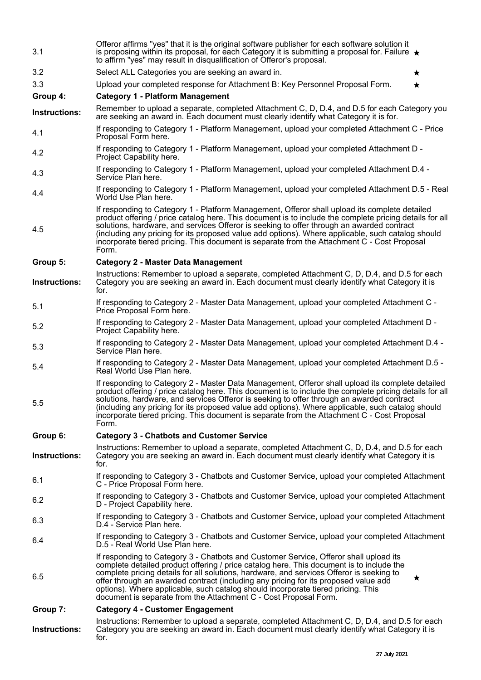| Instructions: | Instructions: Remember to upload a separate, completed Attachment C, D, D.4, and D.5 for each<br>Category you are seeking an award in. Each document must clearly identify what Category it is<br>for.                                                                                                                                                                                                                                                                                                                                  |
|---------------|-----------------------------------------------------------------------------------------------------------------------------------------------------------------------------------------------------------------------------------------------------------------------------------------------------------------------------------------------------------------------------------------------------------------------------------------------------------------------------------------------------------------------------------------|
| Group 7:      | <b>Category 4 - Customer Engagement</b>                                                                                                                                                                                                                                                                                                                                                                                                                                                                                                 |
| 6.5           | If responding to Category 3 - Chatbots and Customer Service, Offeror shall upload its<br>complete detailed product offering / price catalog here. This document is to include the<br>complete pricing details for all solutions, hardware, and services Offeror is seeking to<br>$\star$<br>offer through an awarded contract (including any pricing for its proposed value add<br>options). Where applicable, such catalog should incorporate tiered pricing. This<br>document is separate from the Attachment C - Cost Proposal Form. |
| 6.4           | If responding to Category 3 - Chatbots and Customer Service, upload your completed Attachment<br>D.5 - Real World Use Plan here.                                                                                                                                                                                                                                                                                                                                                                                                        |
| 6.3           | If responding to Category 3 - Chatbots and Customer Service, upload your completed Attachment<br>D.4 - Service Plan here.                                                                                                                                                                                                                                                                                                                                                                                                               |
| 6.2           | If responding to Category 3 - Chatbots and Customer Service, upload your completed Attachment<br>D - Project Capability here.                                                                                                                                                                                                                                                                                                                                                                                                           |
| 6.1           | If responding to Category 3 - Chatbots and Customer Service, upload your completed Attachment<br>C - Price Proposal Form here.                                                                                                                                                                                                                                                                                                                                                                                                          |
| Instructions: | Instructions: Remember to upload a separate, completed Attachment C, D, D.4, and D.5 for each<br>Category you are seeking an award in. Each document must clearly identify what Category it is<br>for.                                                                                                                                                                                                                                                                                                                                  |
| Group 6:      | <b>Category 3 - Chatbots and Customer Service</b>                                                                                                                                                                                                                                                                                                                                                                                                                                                                                       |
| 5.5           | If responding to Category 2 - Master Data Management, Offeror shall upload its complete detailed<br>product offering / price catalog here. This document is to include the complete pricing details for all<br>solutions, hardware, and services Offeror is seeking to offer through an awarded contract<br>(including any pricing for its proposed value add options). Where applicable, such catalog should<br>incorporate tiered pricing. This document is separate from the Attachment C - Cost Proposal<br>Form.                   |
| 5.4           | If responding to Category 2 - Master Data Management, upload your completed Attachment D.5 -<br>Real World Use Plan here.                                                                                                                                                                                                                                                                                                                                                                                                               |
| 5.3           | If responding to Category 2 - Master Data Management, upload your completed Attachment D.4 -<br>Service Plan here.                                                                                                                                                                                                                                                                                                                                                                                                                      |
| 5.2           | If responding to Category 2 - Master Data Management, upload your completed Attachment D -<br>Project Capability here.                                                                                                                                                                                                                                                                                                                                                                                                                  |
| 5.1           | If responding to Category 2 - Master Data Management, upload your completed Attachment C -<br>Price Proposal Form here.                                                                                                                                                                                                                                                                                                                                                                                                                 |
| Instructions: | Instructions: Remember to upload a separate, completed Attachment C, D, D.4, and D.5 for each<br>Category you are seeking an award in. Each document must clearly identify what Category it is<br>for.                                                                                                                                                                                                                                                                                                                                  |
| Group 5:      | <b>Category 2 - Master Data Management</b>                                                                                                                                                                                                                                                                                                                                                                                                                                                                                              |
| 4.5           | If responding to Category 1 - Platform Management, Offeror shall upload its complete detailed<br>product offering / price catalog here. This document is to include the complete pricing details for all<br>solutions, hardware, and services Offeror is seeking to offer through an awarded contract<br>(including any pricing for its proposed value add options). Where applicable, such catalog should<br>incorporate tiered pricing. This document is separate from the Attachment C - Cost Proposal<br>Form.                      |
| 4.4           | If responding to Category 1 - Platform Management, upload your completed Attachment D.5 - Real<br>World Use Plan here.                                                                                                                                                                                                                                                                                                                                                                                                                  |
| 4.3           | If responding to Category 1 - Platform Management, upload your completed Attachment D.4 -<br>Service Plan here.                                                                                                                                                                                                                                                                                                                                                                                                                         |
| 4.2           | If responding to Category 1 - Platform Management, upload your completed Attachment D -<br>Project Capability here.                                                                                                                                                                                                                                                                                                                                                                                                                     |
| 4.1           | If responding to Category 1 - Platform Management, upload your completed Attachment C - Price<br>Proposal Form here.                                                                                                                                                                                                                                                                                                                                                                                                                    |
| Instructions: | Remember to upload a separate, completed Attachment C, D, D.4, and D.5 for each Category you<br>are seeking an award in. Each document must clearly identify what Category it is for.                                                                                                                                                                                                                                                                                                                                                   |
| Group 4:      | <b>Category 1 - Platform Management</b>                                                                                                                                                                                                                                                                                                                                                                                                                                                                                                 |
| 3.3           | Upload your completed response for Attachment B: Key Personnel Proposal Form.<br>$\star$                                                                                                                                                                                                                                                                                                                                                                                                                                                |
| 3.2           | Select ALL Categories you are seeking an award in.<br>$\star$                                                                                                                                                                                                                                                                                                                                                                                                                                                                           |
| 3.1           | Offeror affirms "yes" that it is the original software publisher for each software solution it<br>is proposing within its proposal, for each Category it is submitting a proposal for. Failure $\star$<br>to affirm "yes" may result in disqualification of Offeror's proposal.                                                                                                                                                                                                                                                         |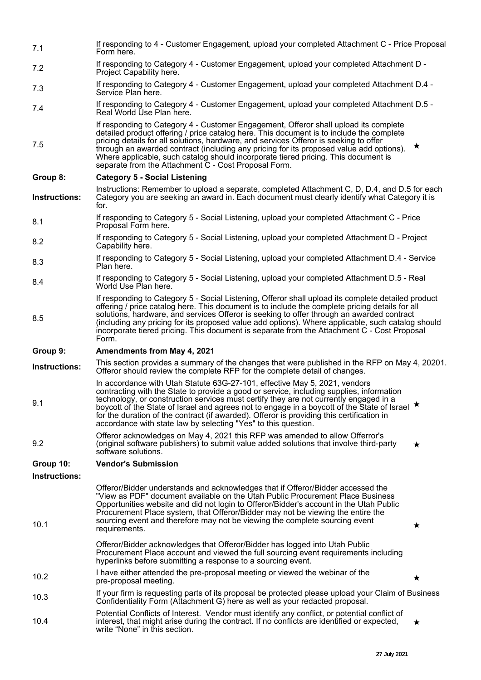| 7.1           | If responding to 4 - Customer Engagement, upload your completed Attachment C - Price Proposal<br>Form here.                                                                                                                                                                                                                                                                                                                                                                                                                           |         |
|---------------|---------------------------------------------------------------------------------------------------------------------------------------------------------------------------------------------------------------------------------------------------------------------------------------------------------------------------------------------------------------------------------------------------------------------------------------------------------------------------------------------------------------------------------------|---------|
| 7.2           | If responding to Category 4 - Customer Engagement, upload your completed Attachment D -<br>Project Capability here.                                                                                                                                                                                                                                                                                                                                                                                                                   |         |
| 7.3           | If responding to Category 4 - Customer Engagement, upload your completed Attachment D.4 -<br>Service Plan here.                                                                                                                                                                                                                                                                                                                                                                                                                       |         |
| 7.4           | If responding to Category 4 - Customer Engagement, upload your completed Attachment D.5 -<br>Real World Use Plan here.                                                                                                                                                                                                                                                                                                                                                                                                                |         |
| 7.5           | If responding to Category 4 - Customer Engagement, Offeror shall upload its complete<br>detailed product offering / price catalog here. This document is to include the complete<br>pricing details for all solutions, hardware, and services Offeror is seeking to offer<br>through an awarded contract (including any pricing for its proposed value add options).<br>Where applicable, such catalog should incorporate tiered pricing. This document is<br>separate from the Attachment C - Cost Proposal Form.                    | $\star$ |
| Group 8:      | <b>Category 5 - Social Listening</b>                                                                                                                                                                                                                                                                                                                                                                                                                                                                                                  |         |
| Instructions: | Instructions: Remember to upload a separate, completed Attachment C, D, D.4, and D.5 for each<br>Category you are seeking an award in. Each document must clearly identify what Category it is<br>for.                                                                                                                                                                                                                                                                                                                                |         |
| 8.1           | If responding to Category 5 - Social Listening, upload your completed Attachment C - Price<br>Proposal Form here.                                                                                                                                                                                                                                                                                                                                                                                                                     |         |
| 8.2           | If responding to Category 5 - Social Listening, upload your completed Attachment D - Project<br>Capability here.                                                                                                                                                                                                                                                                                                                                                                                                                      |         |
| 8.3           | If responding to Category 5 - Social Listening, upload your completed Attachment D.4 - Service<br>Plan here.                                                                                                                                                                                                                                                                                                                                                                                                                          |         |
| 8.4           | If responding to Category 5 - Social Listening, upload your completed Attachment D.5 - Real<br>World Use Plan here.                                                                                                                                                                                                                                                                                                                                                                                                                   |         |
| 8.5           | If responding to Category 5 - Social Listening, Offeror shall upload its complete detailed product<br>offering / price catalog here. This document is to include the complete pricing details for all<br>solutions, hardware, and services Offeror is seeking to offer through an awarded contract<br>(including any pricing for its proposed value add options). Where applicable, such catalog should<br>incorporate tiered pricing. This document is separate from the Attachment C - Cost Proposal                                |         |
|               | Form.                                                                                                                                                                                                                                                                                                                                                                                                                                                                                                                                 |         |
| Group 9:      | Amendments from May 4, 2021                                                                                                                                                                                                                                                                                                                                                                                                                                                                                                           |         |
| Instructions: | This section provides a summary of the changes that were published in the RFP on May 4, 20201.<br>Offeror should review the complete RFP for the complete detail of changes.                                                                                                                                                                                                                                                                                                                                                          |         |
| 9.1           | In accordance with Utah Statute 63G-27-101, effective May 5, 2021, vendors<br>contracting with the State to provide a good or service, including supplies, information<br>technology, or construction services must certify they are not currently engaged in a<br>boycott of the State of Israel and agrees not to engage in a boycott of the State of Israel $\star$<br>for the duration of the contract (if awarded). Offeror is providing this certification in<br>accordance with state law by selecting "Yes" to this question. |         |
| 9.2           | Offeror acknowledges on May 4, 2021 this RFP was amended to allow Offerror's<br>(original software publishers) to submit value added solutions that involve third-party<br>software solutions.                                                                                                                                                                                                                                                                                                                                        | $\star$ |
| Group 10:     | <b>Vendor's Submission</b>                                                                                                                                                                                                                                                                                                                                                                                                                                                                                                            |         |
| Instructions: |                                                                                                                                                                                                                                                                                                                                                                                                                                                                                                                                       |         |
| 10.1          | Offeror/Bidder understands and acknowledges that if Offeror/Bidder accessed the<br>"View as PDF" document available on the Utah Public Procurement Place Business<br>Opportunities website and did not login to Offeror/Bidder's account in the Utah Public<br>Procurement Place system, that Offeror/Bidder may not be viewing the entire the<br>sourcing event and therefore may not be viewing the complete sourcing event<br>requirements.                                                                                        | *       |
|               | Offeror/Bidder acknowledges that Offeror/Bidder has logged into Utah Public<br>Procurement Place account and viewed the full sourcing event requirements including<br>hyperlinks before submitting a response to a sourcing event.                                                                                                                                                                                                                                                                                                    |         |
| 10.2          | I have either attended the pre-proposal meeting or viewed the webinar of the<br>pre-proposal meeting.                                                                                                                                                                                                                                                                                                                                                                                                                                 | $\star$ |
| 10.3          | If your firm is requesting parts of its proposal be protected please upload your Claim of Business<br>Confidentiality Form (Attachment G) here as well as your redacted proposal.<br>Potential Conflicts of Interest. Vendor must identify any conflict, or potential conflict of                                                                                                                                                                                                                                                     |         |